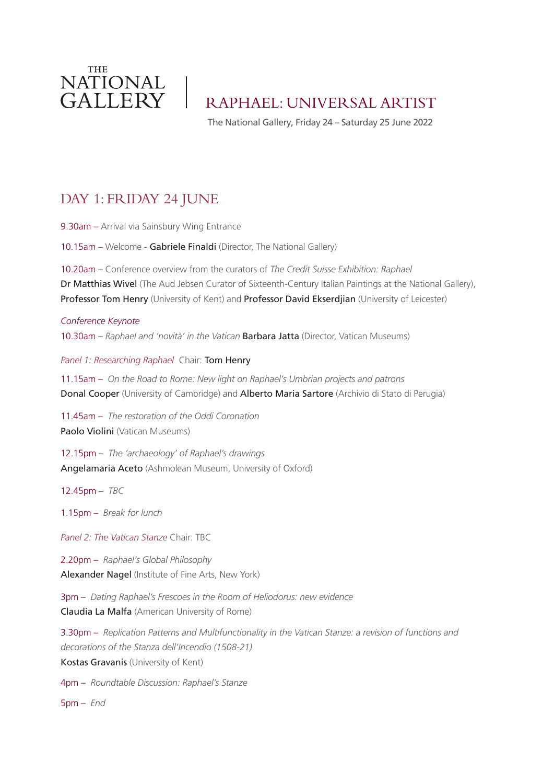

RAPHAEL: UNIVERSAL ARTIST

The National Gallery, Friday 24 – Saturday 25 June 2022

## DAY 1: FRIDAY 24 JUNE

9.30am – Arrival via Sainsbury Wing Entrance

10.15am – Welcome - Gabriele Finaldi (Director, The National Gallery)

10.20am – Conference overview from the curators of *The Credit Suisse Exhibition: Raphael*  Dr Matthias Wivel (The Aud Jebsen Curator of Sixteenth-Century Italian Paintings at the National Gallery), Professor Tom Henry (University of Kent) and Professor David Ekserdjian (University of Leicester)

*Conference Keynote* 10.30am – *Raphael and 'novità' in the Vatican* Barbara Jatta (Director, Vatican Museums)

*Panel 1: Researching Raphael* Chair: Tom Henry

11.15am – *On the Road to Rome: New light on Raphael's Umbrian projects and patrons*  Donal Cooper (University of Cambridge) and Alberto Maria Sartore (Archivio di Stato di Perugia)

11.45am – *The restoration of the Oddi Coronation* Paolo Violini (Vatican Museums)

12.15pm – *The 'archaeology' of Raphael's drawings*  Angelamaria Aceto (Ashmolean Museum, University of Oxford)

12.45pm – *TBC*

1.15pm – *Break for lunch*

*Panel 2: The Vatican Stanze* Chair: TBC

2.20pm – *Raphael's Global Philosophy* Alexander Nagel (Institute of Fine Arts, New York)

3pm – *Dating Raphael's Frescoes in the Room of Heliodorus: new evidence* Claudia La Malfa (American University of Rome)

3.30pm – *Replication Patterns and Multifunctionality in the Vatican Stanze: a revision of functions and decorations of the Stanza dell'Incendio (1508-21)* Kostas Gravanis (University of Kent)

4pm – *Roundtable Discussion: Raphael's Stanze*

5pm – *End*